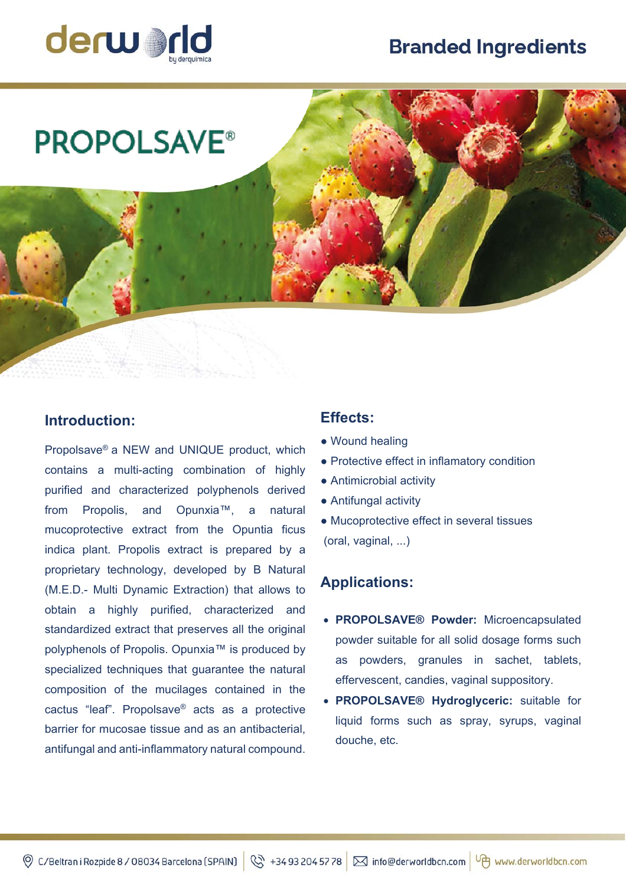# **Branded Ingredients**



# **PROPOLSAVE®**

## **Introduction:**

Propolsave® a NEW and UNIQUE product, which contains a multi-acting combination of highly purified and characterized polyphenols derived from Propolis, and Opunxia™, a natural mucoprotective extract from the Opuntia ficus indica plant. Propolis extract is prepared by a proprietary technology, developed by B Natural (M.E.D.- Multi Dynamic Extraction) that allows to obtain a highly purified, characterized and standardized extract that preserves all the original polyphenols of Propolis. Opunxia™ is produced by specialized techniques that guarantee the natural composition of the mucilages contained in the cactus "leaf". Propolsave® acts as a protective barrier for mucosae tissue and as an antibacterial, antifungal and anti-inflammatory natural compound.

### **Effects:**

- Wound healing
- Protective effect in inflamatory condition
- Antimicrobial activity
- Antifungal activity
- Mucoprotective effect in several tissues (oral, vaginal, ...)

#### **Applications:**

- **PROPOLSAVE® Powder:** Microencapsulated powder suitable for all solid dosage forms such as powders, granules in sachet, tablets, effervescent, candies, vaginal suppository.
- **PROPOLSAVE® Hydroglyceric:** suitable for liquid forms such as spray, syrups, vaginal douche, etc.